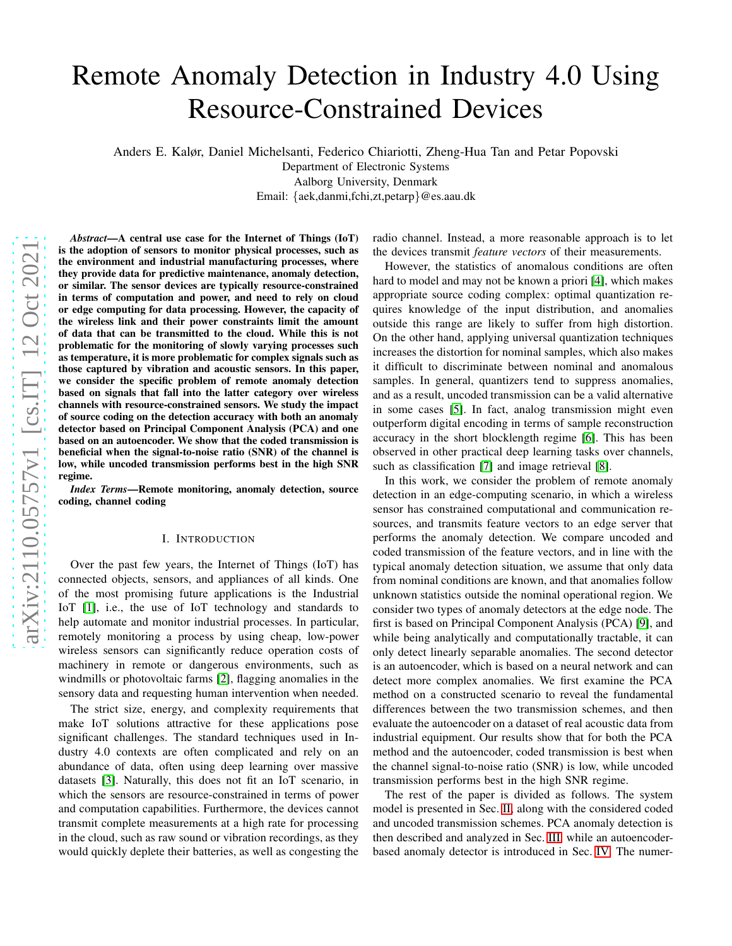# Remote Anomaly Detection in Industry 4.0 Using Resource-Constrained Devices

Anders E. Kalør, Daniel Michelsanti, Federico Chiariotti, Zheng-Hua Tan and Petar Popovski

Department of Electronic Systems Aalborg University, Denmark

Email: {aek,danmi,fchi,zt,petarp}@es.aau.dk

*Abstract*—A central use case for the Internet of Things (IoT) is the adoption of sensors to monitor physical processes, such as the environment and industrial manufacturing processes, where they provide data for predictive maintenance, anomaly detection, or similar. The sensor devices are typically resource-constrained in terms of computation and power, and need to rely on cloud or edge computing for data processing. However, the capacity of the wireless link and their power constraints limit the amount of data that can be transmitted to the cloud. While this is not problematic for the monitoring of slowly varying processes such as temperature, it is more problematic for complex signals such as those captured by vibration and acoustic sensors. In this paper, we consider the specific problem of remote anomaly detection based on signals that fall into the latter category over wireless channels with resource-constrained sensors. We study the impact of source coding on the detection accuracy with both an anomaly detector based on Principal Component Analysis (PCA) and one based on an autoencoder. We show that the coded transmission is beneficial when the signal-to-noise ratio (SNR) of the channel is low, while uncoded transmission performs best in the high SNR regime.

*Index Terms*—Remote monitoring, anomaly detection, source coding, channel coding

#### I. INTRODUCTION

Over the past few years, the Internet of Things (IoT) has connected objects, sensors, and appliances of all kinds. One of the most promising future applications is the Industrial IoT [\[1\]](#page-4-0), i.e., the use of IoT technology and standards to help automate and monitor industrial processes. In particular, remotely monitoring a process by using cheap, low-power wireless sensors can significantly reduce operation costs of machinery in remote or dangerous environments, such as windmills or photovoltaic farms [\[2\]](#page-4-1), flagging anomalies in the sensory data and requesting human intervention when needed.

The strict size, energy, and complexity requirements that make IoT solutions attractive for these applications pose significant challenges. The standard techniques used in Industry 4.0 contexts are often complicated and rely on an abundance of data, often using deep learning over massive datasets [\[3\]](#page-4-2). Naturally, this does not fit an IoT scenario, in which the sensors are resource-constrained in terms of power and computation capabilities. Furthermore, the devices cannot transmit complete measurements at a high rate for processing in the cloud, such as raw sound or vibration recordings, as they would quickly deplete their batteries, as well as congesting the radio channel. Instead, a more reasonable approach is to let the devices transmit *feature vectors* of their measurements.

However, the statistics of anomalous conditions are often hard to model and may not be known a priori [\[4\]](#page-4-3), which makes appropriate source coding complex: optimal quantization requires knowledge of the input distribution, and anomalies outside this range are likely to suffer from high distortion. On the other hand, applying universal quantization techniques increases the distortion for nominal samples, which also makes it difficult to discriminate between nominal and anomalous samples. In general, quantizers tend to suppress anomalies, and as a result, uncoded transmission can be a valid alternative in some cases [\[5\]](#page-4-4). In fact, analog transmission might even outperform digital encoding in terms of sample reconstruction accuracy in the short blocklength regime [\[6\]](#page-4-5). This has been observed in other practical deep learning tasks over channels, such as classification [\[7\]](#page-4-6) and image retrieval [\[8\]](#page-4-7).

In this work, we consider the problem of remote anomaly detection in an edge-computing scenario, in which a wireless sensor has constrained computational and communication resources, and transmits feature vectors to an edge server that performs the anomaly detection. We compare uncoded and coded transmission of the feature vectors, and in line with the typical anomaly detection situation, we assume that only data from nominal conditions are known, and that anomalies follow unknown statistics outside the nominal operational region. We consider two types of anomaly detectors at the edge node. The first is based on Principal Component Analysis (PCA) [\[9\]](#page-4-8), and while being analytically and computationally tractable, it can only detect linearly separable anomalies. The second detector is an autoencoder, which is based on a neural network and can detect more complex anomalies. We first examine the PCA method on a constructed scenario to reveal the fundamental differences between the two transmission schemes, and then evaluate the autoencoder on a dataset of real acoustic data from industrial equipment. Our results show that for both the PCA method and the autoencoder, coded transmission is best when the channel signal-to-noise ratio (SNR) is low, while uncoded transmission performs best in the high SNR regime.

The rest of the paper is divided as follows. The system model is presented in Sec. [II,](#page-1-0) along with the considered coded and uncoded transmission schemes. PCA anomaly detection is then described and analyzed in Sec. [III,](#page-1-1) while an autoencoderbased anomaly detector is introduced in Sec. [IV.](#page-3-0) The numer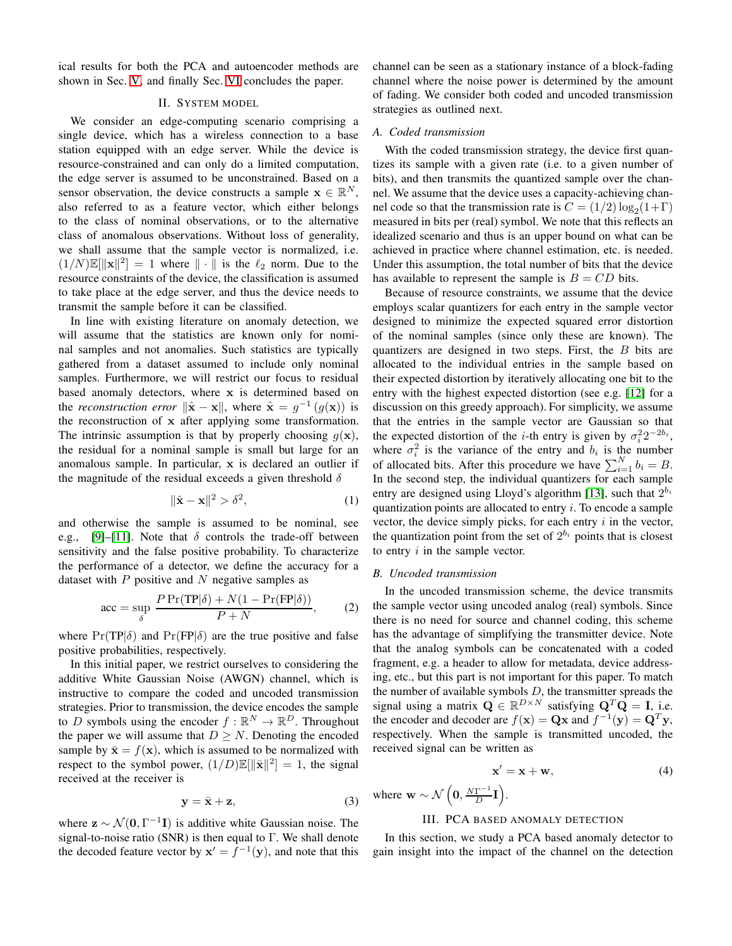<span id="page-1-0"></span>ical results for both the PCA and autoencoder methods are shown in Sec. [V,](#page-3-1) and finally Sec. [VI](#page-4-9) concludes the paper.

## II. SYSTEM MODEL

We consider an edge-computing scenario comprising a single device, which has a wireless connection to a base station equipped with an edge server. While the device is resource-constrained and can only do a limited computation, the edge server is assumed to be unconstrained. Based on a sensor observation, the device constructs a sample  $\mathbf{x} \in \mathbb{R}^N$ , also referred to as a feature vector, which either belongs to the class of nominal observations, or to the alternative class of anomalous observations. Without loss of generality, we shall assume that the sample vector is normalized, i.e.  $(1/N)\mathbb{E}[\|\mathbf{x}\|^2] = 1$  where  $\|\cdot\|$  is the  $\ell_2$  norm. Due to the resource constraints of the device, the classification is assumed to take place at the edge server, and thus the device needs to transmit the sample before it can be classified.

In line with existing literature on anomaly detection, we will assume that the statistics are known only for nominal samples and not anomalies. Such statistics are typically gathered from a dataset assumed to include only nominal samples. Furthermore, we will restrict our focus to residual based anomaly detectors, where x is determined based on the *reconstruction error*  $\|\hat{\mathbf{x}} - \mathbf{x}\|$ , where  $\hat{\mathbf{x}} = g^{-1}(g(\mathbf{x}))$  is the reconstruction of x after applying some transformation. The intrinsic assumption is that by properly choosing  $q(\mathbf{x})$ , the residual for a nominal sample is small but large for an anomalous sample. In particular, x is declared an outlier if the magnitude of the residual exceeds a given threshold  $\delta$ 

$$
\|\hat{\mathbf{x}} - \mathbf{x}\|^2 > \delta^2,\tag{1}
$$

and otherwise the sample is assumed to be nominal, see e.g., [\[9\]](#page-4-8)–[\[11\]](#page-4-10). Note that  $\delta$  controls the trade-off between sensitivity and the false positive probability. To characterize the performance of a detector, we define the accuracy for a dataset with  $P$  positive and  $N$  negative samples as

$$
\text{acc} = \sup_{\delta} \frac{P \Pr(\text{TP}|\delta) + N(1 - \Pr(\text{FP}|\delta))}{P + N}, \tag{2}
$$

where  $Pr(TP|\delta)$  and  $Pr(FP|\delta)$  are the true positive and false positive probabilities, respectively.

In this initial paper, we restrict ourselves to considering the additive White Gaussian Noise (AWGN) channel, which is instructive to compare the coded and uncoded transmission strategies. Prior to transmission, the device encodes the sample to D symbols using the encoder  $f : \mathbb{R}^N \to \mathbb{R}^D$ . Throughout the paper we will assume that  $D \geq N$ . Denoting the encoded sample by  $\bar{\mathbf{x}} = f(\mathbf{x})$ , which is assumed to be normalized with respect to the symbol power,  $(1/D)\mathbb{E}[\|\bar{\mathbf{x}}\|^2] = 1$ , the signal received at the receiver is

$$
y = \bar{x} + z,\tag{3}
$$

where  $z \sim \mathcal{N}(0, \Gamma^{-1}I)$  is additive white Gaussian noise. The signal-to-noise ratio (SNR) is then equal to  $\Gamma$ . We shall denote the decoded feature vector by  $x' = \overline{f}^{-1}(y)$ , and note that this channel can be seen as a stationary instance of a block-fading channel where the noise power is determined by the amount of fading. We consider both coded and uncoded transmission strategies as outlined next.

### *A. Coded transmission*

With the coded transmission strategy, the device first quantizes its sample with a given rate (i.e. to a given number of bits), and then transmits the quantized sample over the channel. We assume that the device uses a capacity-achieving channel code so that the transmission rate is  $C = (1/2) \log_2(1+\Gamma)$ measured in bits per (real) symbol. We note that this reflects an idealized scenario and thus is an upper bound on what can be achieved in practice where channel estimation, etc. is needed. Under this assumption, the total number of bits that the device has available to represent the sample is  $B = CD$  bits.

Because of resource constraints, we assume that the device employs scalar quantizers for each entry in the sample vector designed to minimize the expected squared error distortion of the nominal samples (since only these are known). The quantizers are designed in two steps. First, the  $B$  bits are allocated to the individual entries in the sample based on their expected distortion by iteratively allocating one bit to the entry with the highest expected distortion (see e.g. [\[12\]](#page-4-11) for a discussion on this greedy approach). For simplicity, we assume that the entries in the sample vector are Gaussian so that the expected distortion of the *i*-th entry is given by  $\sigma_i^2 2^{-2b_i}$ , where  $\sigma_i^2$  is the variance of the entry and  $b_i$  is the number of allocated bits. After this procedure we have  $\sum_{i=1}^{N} b_i = B$ . In the second step, the individual quantizers for each sample entry are designed using Lloyd's algorithm [\[13\]](#page-4-12), such that  $2^{b_i}$ quantization points are allocated to entry  $i$ . To encode a sample vector, the device simply picks, for each entry  $i$  in the vector, the quantization point from the set of  $2^{b_i}$  points that is closest to entry  $i$  in the sample vector.

### *B. Uncoded transmission*

In the uncoded transmission scheme, the device transmits the sample vector using uncoded analog (real) symbols. Since there is no need for source and channel coding, this scheme has the advantage of simplifying the transmitter device. Note that the analog symbols can be concatenated with a coded fragment, e.g. a header to allow for metadata, device addressing, etc., but this part is not important for this paper. To match the number of available symbols  $D$ , the transmitter spreads the signal using a matrix  $\mathbf{Q} \in \mathbb{R}^{D \times N}$  satisfying  $\mathbf{Q}^T \mathbf{Q} = \mathbf{I}$ , i.e. the encoder and decoder are  $f(\mathbf{x}) = \mathbf{Q}\mathbf{x}$  and  $f^{-1}(\mathbf{y}) = \mathbf{Q}^T\mathbf{y}$ , respectively. When the sample is transmitted uncoded, the received signal can be written as

$$
\mathbf{x}' = \mathbf{x} + \mathbf{w},\tag{4}
$$

<span id="page-1-1"></span>where  $\mathbf{w} \sim \mathcal{N}\left(\mathbf{0}, \frac{N\Gamma^{-1}}{D}\right)$  $\frac{\Gamma^{-1}}{D}$ **I**).

# III. PCA BASED ANOMALY DETECTION

In this section, we study a PCA based anomaly detector to gain insight into the impact of the channel on the detection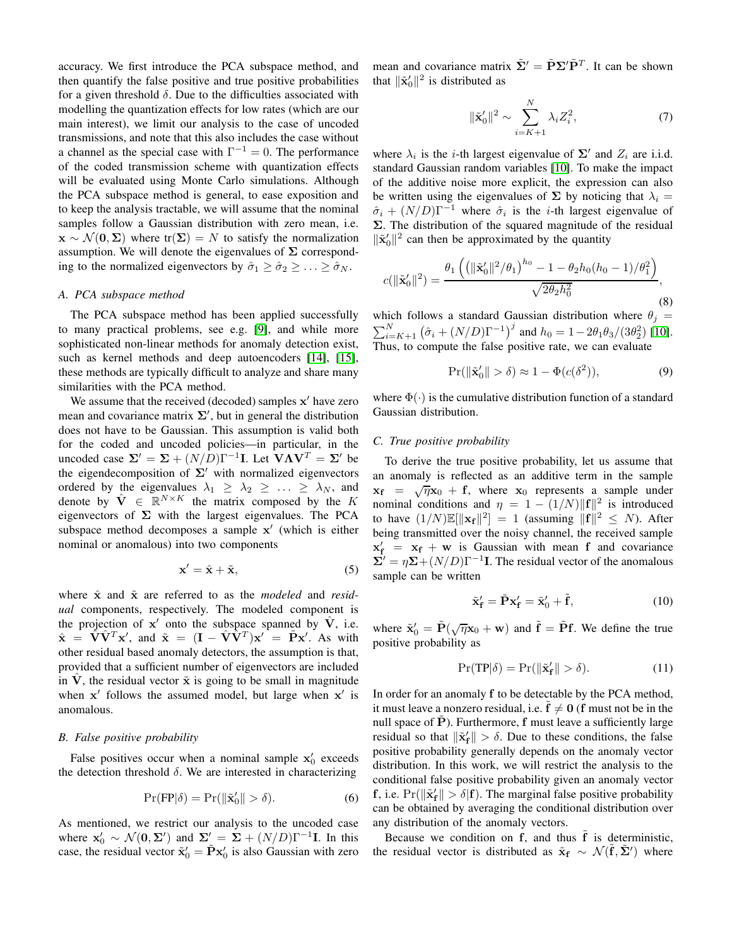accuracy. We first introduce the PCA subspace method, and then quantify the false positive and true positive probabilities for a given threshold  $\delta$ . Due to the difficulties associated with modelling the quantization effects for low rates (which are our main interest), we limit our analysis to the case of uncoded transmissions, and note that this also includes the case without a channel as the special case with  $\Gamma^{-1} = 0$ . The performance of the coded transmission scheme with quantization effects will be evaluated using Monte Carlo simulations. Although the PCA subspace method is general, to ease exposition and to keep the analysis tractable, we will assume that the nominal samples follow a Gaussian distribution with zero mean, i.e.  $\mathbf{x} \sim \mathcal{N}(\mathbf{0}, \Sigma)$  where tr $(\Sigma) = N$  to satisfy the normalization assumption. We will denote the eigenvalues of  $\Sigma$  corresponding to the normalized eigenvectors by  $\hat{\sigma}_1 \geq \hat{\sigma}_2 \geq \ldots \geq \hat{\sigma}_N$ .

## *A. PCA subspace method*

The PCA subspace method has been applied successfully to many practical problems, see e.g. [\[9\]](#page-4-8), and while more sophisticated non-linear methods for anomaly detection exist, such as kernel methods and deep autoencoders [\[14\]](#page-4-13), [\[15\]](#page-4-14), these methods are typically difficult to analyze and share many similarities with the PCA method.

We assume that the received (decoded) samples x' have zero mean and covariance matrix  $\Sigma'$ , but in general the distribution does not have to be Gaussian. This assumption is valid both for the coded and uncoded policies—in particular, in the uncoded case  $\Sigma' = \Sigma + (N/D)\Gamma^{-1}\mathbf{I}$ . Let  $\mathbf{V}\mathbf{\Lambda}\mathbf{V}^T = \Sigma'$  be the eigendecomposition of  $\Sigma'$  with normalized eigenvectors ordered by the eigenvalues  $\lambda_1 \geq \lambda_2 \geq \ldots \geq \lambda_N$ , and denote by  $\hat{\mathbf{V}} \in \mathbb{R}^{N \times K}$  the matrix composed by the K eigenvectors of  $\Sigma$  with the largest eigenvalues. The PCA subspace method decomposes a sample  $x'$  (which is either nominal or anomalous) into two components

$$
\mathbf{x}' = \hat{\mathbf{x}} + \tilde{\mathbf{x}},\tag{5}
$$

where  $\hat{x}$  and  $\tilde{x}$  are referred to as the *modeled* and *residual* components, respectively. The modeled component is the projection of  $x'$  onto the subspace spanned by  $\hat{V}$ , i.e.  $\hat{\mathbf{x}} = \hat{\mathbf{V}} \hat{\mathbf{V}}^T \mathbf{x}'$ , and  $\tilde{\mathbf{x}} = (\mathbf{I} - \hat{\mathbf{V}} \hat{\mathbf{V}}^T) \mathbf{x}' = \tilde{\mathbf{P}} \mathbf{x}'$ . As with other residual based anomaly detectors, the assumption is that, provided that a sufficient number of eigenvectors are included in V, the residual vector  $\tilde{x}$  is going to be small in magnitude when  $x'$  follows the assumed model, but large when  $x'$  is anomalous.

#### *B. False positive probability*

False positives occur when a nominal sample  $x'_0$  exceeds the detection threshold  $\delta$ . We are interested in characterizing

$$
\Pr(\text{FP}|\delta) = \Pr(\|\tilde{\mathbf{x}}_0'\| > \delta). \tag{6}
$$

As mentioned, we restrict our analysis to the uncoded case where  $\mathbf{x}'_0 \sim \mathcal{N}(\mathbf{0}, \Sigma')$  and  $\Sigma' = \Sigma + (N/D)\Gamma^{-1}\mathbf{I}$ . In this case, the residual vector  $\tilde{\mathbf{x}}'_0 = \tilde{\mathbf{P}} \mathbf{x}'_0$  is also Gaussian with zero mean and covariance matrix  $\tilde{\Sigma}' = \tilde{P} \Sigma' \tilde{P}^T$ . It can be shown that  $\|\tilde{\mathbf{x}}_0'\|^2$  is distributed as

$$
\|\tilde{\mathbf{x}}_0'\|^2 \sim \sum_{i=K+1}^N \lambda_i Z_i^2,\tag{7}
$$

where  $\lambda_i$  is the *i*-th largest eigenvalue of  $\Sigma'$  and  $Z_i$  are i.i.d. standard Gaussian random variables [\[10\]](#page-4-15). To make the impact of the additive noise more explicit, the expression can also be written using the eigenvalues of  $\Sigma$  by noticing that  $\lambda_i =$  $\hat{\sigma}_i + (N/D)\Gamma^{-1}$  where  $\hat{\sigma}_i$  is the *i*-th largest eigenvalue of  $\Sigma$ . The distribution of the squared magnitude of the residual  $\|\tilde{\mathbf{x}}_0'\|^2$  can then be approximated by the quantity

$$
c(\|\tilde{\mathbf{x}}_0'\|^2) = \frac{\theta_1\left(\left(\|\tilde{\mathbf{x}}_0'\|^2/\theta_1\right)^{h_0} - 1 - \theta_2 h_0 (h_0 - 1)/\theta_1^2\right)}{\sqrt{2\theta_2 h_0^2}},
$$
(8)

which follows a standard Gaussian distribution where  $\theta_j =$  $\sum_{i=K+1}^{N} (\hat{\sigma}_i + (N/D)\Gamma^{-1})^j$  and  $h_0 = 1 - 2\theta_1\theta_3/(3\theta_2^2)$  [\[10\]](#page-4-15). Thus, to compute the false positive rate, we can evaluate

$$
\Pr(\|\tilde{\mathbf{x}}_0'\| > \delta) \approx 1 - \Phi(c(\delta^2)),\tag{9}
$$

where  $\Phi(\cdot)$  is the cumulative distribution function of a standard Gaussian distribution.

### *C. True positive probability*

To derive the true positive probability, let us assume that an anomaly is reflected as an additive term in the sample  $x_f = \sqrt{\eta}x_0 + f$ , where  $x_0$  represents a sample under nominal conditions and  $\eta = 1 - (1/N) ||\mathbf{f}||^2$  is introduced to have  $(1/N)\mathbb{E}[\|\mathbf{x_f}\|^2] = 1$  (assuming  $\|\mathbf{f}\|^2 \leq N$ ). After being transmitted over the noisy channel, the received sample  $x'_f = x_f + w$  is Gaussian with mean f and covariance  $\mathbf{\Sigma}' = \eta \mathbf{\Sigma} + (N/D)\Gamma^{-1}\mathbf{I}$ . The residual vector of the anomalous sample can be written

$$
\tilde{\mathbf{x}}_{\mathbf{f}}' = \tilde{\mathbf{P}} \mathbf{x}_{\mathbf{f}}' = \tilde{\mathbf{x}}_0' + \tilde{\mathbf{f}},\tag{10}
$$

where  $\tilde{\mathbf{x}}'_0 = \tilde{\mathbf{P}}(\sqrt{\eta}\mathbf{x}_0 + \mathbf{w})$  and  $\tilde{\mathbf{f}} = \tilde{\mathbf{P}}\mathbf{f}$ . We define the true positive probability as

$$
\Pr(\text{TP}|\delta) = \Pr(\|\tilde{\mathbf{x}}_{\mathbf{f}}'\| > \delta). \tag{11}
$$

In order for an anomaly f to be detectable by the PCA method, it must leave a nonzero residual, i.e.  $f \neq 0$  (f must not be in the null space of  $P$ ). Furthermore,  $f$  must leave a sufficiently large residual so that  $\|\tilde{\mathbf{x}}'_f\| > \delta$ . Due to these conditions, the false positive probability generally depends on the anomaly vector distribution. In this work, we will restrict the analysis to the conditional false positive probability given an anomaly vector **f**, i.e.  $Pr(||\tilde{\mathbf{x}}'_f|| > \delta|\mathbf{f})$ . The marginal false positive probability can be obtained by averaging the conditional distribution over any distribution of the anomaly vectors.

Because we condition on  $f$ , and thus  $\tilde{f}$  is deterministic, the residual vector is distributed as  $\tilde{\mathbf{x}}_f \sim \mathcal{N}(\tilde{\mathbf{f}}, \tilde{\boldsymbol{\Sigma}}')$  where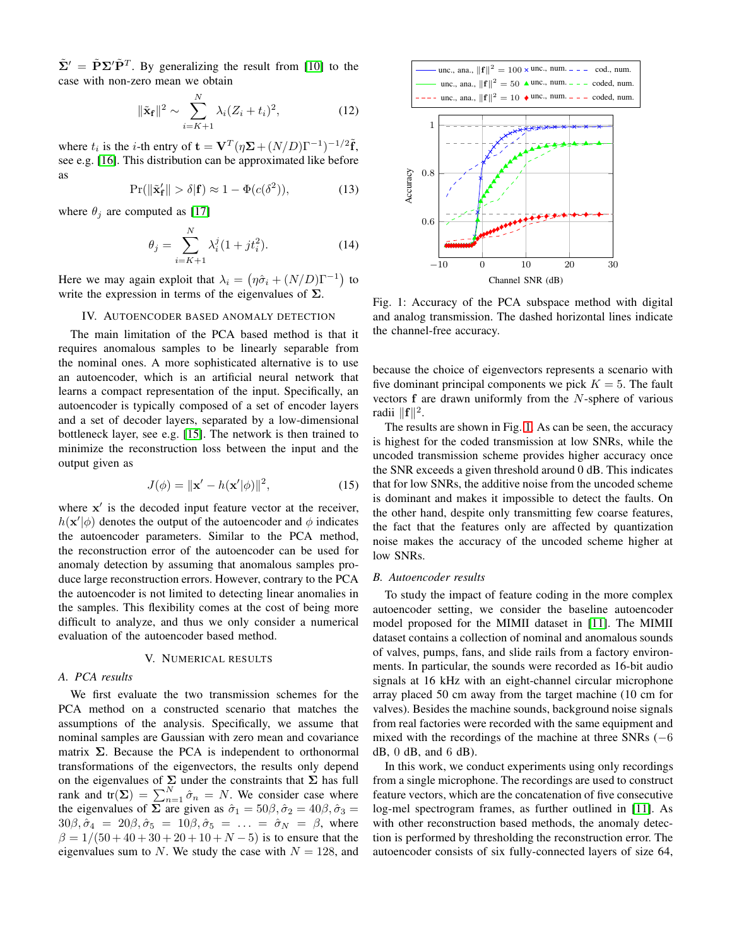$\tilde{\Sigma}' = \tilde{P} \Sigma' \tilde{P}^T$ . By generalizing the result from [\[10\]](#page-4-15) to the case with non-zero mean we obtain

$$
\|\tilde{\mathbf{x}}_{\mathbf{f}}\|^2 \sim \sum_{i=K+1}^N \lambda_i (Z_i + t_i)^2, \tag{12}
$$

where  $t_i$  is the *i*-th entry of  $\mathbf{t} = \mathbf{V}^T(\eta \mathbf{\Sigma} + (N/D)\Gamma^{-1})^{-1/2}\tilde{\mathbf{f}},$ see e.g. [\[16\]](#page-4-16). This distribution can be approximated like before as

$$
\Pr(\|\tilde{\mathbf{x}}_{\mathbf{f}}'\| > \delta | \mathbf{f}) \approx 1 - \Phi(c(\delta^2)),\tag{13}
$$

where  $\theta_j$  are computed as [\[17\]](#page-4-17)

$$
\theta_j = \sum_{i=K+1}^{N} \lambda_i^j (1 + j t_i^2).
$$
 (14)

<span id="page-3-0"></span>Here we may again exploit that  $\lambda_i = (\eta \hat{\sigma}_i + (N/D)\Gamma^{-1})$  to write the expression in terms of the eigenvalues of  $\Sigma$ .

## IV. AUTOENCODER BASED ANOMALY DETECTION

The main limitation of the PCA based method is that it requires anomalous samples to be linearly separable from the nominal ones. A more sophisticated alternative is to use an autoencoder, which is an artificial neural network that learns a compact representation of the input. Specifically, an autoencoder is typically composed of a set of encoder layers and a set of decoder layers, separated by a low-dimensional bottleneck layer, see e.g. [\[15\]](#page-4-14). The network is then trained to minimize the reconstruction loss between the input and the output given as

$$
J(\phi) = \|\mathbf{x}' - h(\mathbf{x}'|\phi)\|^2, \tag{15}
$$

where x' is the decoded input feature vector at the receiver,  $h(\mathbf{x}'|\phi)$  denotes the output of the autoencoder and  $\phi$  indicates the autoencoder parameters. Similar to the PCA method, the reconstruction error of the autoencoder can be used for anomaly detection by assuming that anomalous samples produce large reconstruction errors. However, contrary to the PCA the autoencoder is not limited to detecting linear anomalies in the samples. This flexibility comes at the cost of being more difficult to analyze, and thus we only consider a numerical evaluation of the autoencoder based method.

## V. NUMERICAL RESULTS

## <span id="page-3-1"></span>*A. PCA results*

We first evaluate the two transmission schemes for the PCA method on a constructed scenario that matches the assumptions of the analysis. Specifically, we assume that nominal samples are Gaussian with zero mean and covariance matrix  $\Sigma$ . Because the PCA is independent to orthonormal transformations of the eigenvectors, the results only depend on the eigenvalues of  $\Sigma$  under the constraints that  $\Sigma$  has full rank and  $tr(\Sigma) = \sum_{n=1}^{N} \hat{\sigma}_n = N$ . We consider case where the eigenvalues of  $\Sigma$  are given as  $\hat{\sigma}_1 = 50\beta, \hat{\sigma}_2 = 40\beta, \hat{\sigma}_3 =$  $30\beta, \hat{\sigma}_4 = 20\beta, \hat{\sigma}_5 = 10\beta, \hat{\sigma}_5 = \ldots = \hat{\sigma}_N = \beta$ , where  $\beta = 1/(50 + 40 + 30 + 20 + 10 + N - 5)$  is to ensure that the eigenvalues sum to N. We study the case with  $N = 128$ , and

<span id="page-3-2"></span>

Fig. 1: Accuracy of the PCA subspace method with digital and analog transmission. The dashed horizontal lines indicate the channel-free accuracy.

because the choice of eigenvectors represents a scenario with five dominant principal components we pick  $K = 5$ . The fault vectors f are drawn uniformly from the N-sphere of various radii  $\|\mathbf{f}\|^2$ .

The results are shown in Fig. [1.](#page-3-2) As can be seen, the accuracy is highest for the coded transmission at low SNRs, while the uncoded transmission scheme provides higher accuracy once the SNR exceeds a given threshold around 0 dB. This indicates that for low SNRs, the additive noise from the uncoded scheme is dominant and makes it impossible to detect the faults. On the other hand, despite only transmitting few coarse features, the fact that the features only are affected by quantization noise makes the accuracy of the uncoded scheme higher at low SNRs.

## *B. Autoencoder results*

To study the impact of feature coding in the more complex autoencoder setting, we consider the baseline autoencoder model proposed for the MIMII dataset in [\[11\]](#page-4-10). The MIMII dataset contains a collection of nominal and anomalous sounds of valves, pumps, fans, and slide rails from a factory environments. In particular, the sounds were recorded as 16-bit audio signals at 16 kHz with an eight-channel circular microphone array placed 50 cm away from the target machine (10 cm for valves). Besides the machine sounds, background noise signals from real factories were recorded with the same equipment and mixed with the recordings of the machine at three SNRs  $(-6)$  $dB$ ,  $0$   $dB$ , and  $6$   $dB$ ).

In this work, we conduct experiments using only recordings from a single microphone. The recordings are used to construct feature vectors, which are the concatenation of five consecutive log-mel spectrogram frames, as further outlined in [\[11\]](#page-4-10). As with other reconstruction based methods, the anomaly detection is performed by thresholding the reconstruction error. The autoencoder consists of six fully-connected layers of size 64,